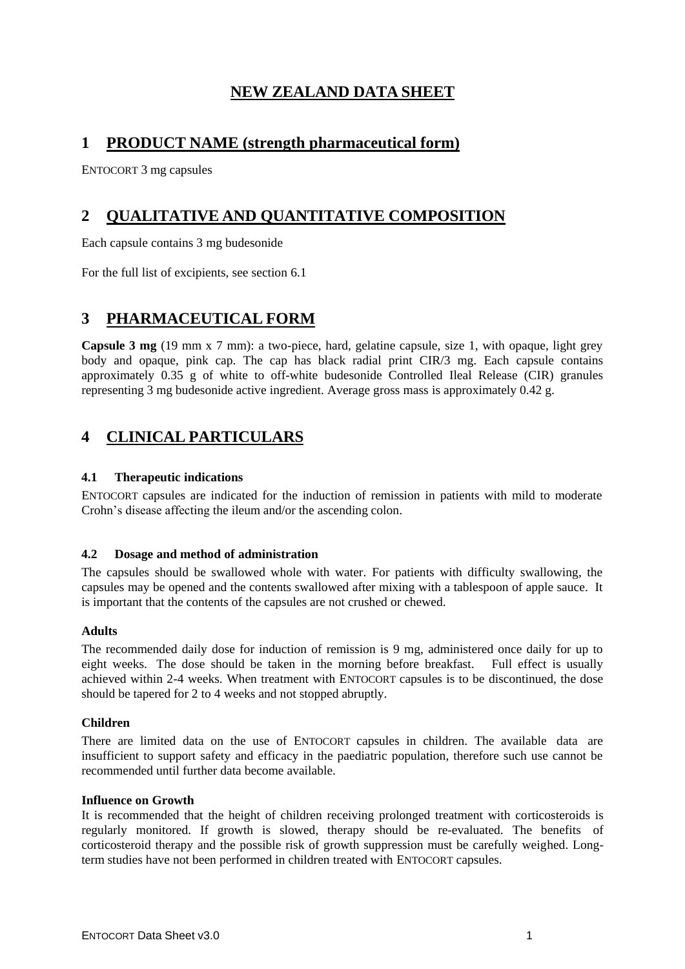# **NEW ZEALAND DATA SHEET**

## **1 PRODUCT NAME (strength pharmaceutical form)**

ENTOCORT 3 mg capsules

# **2 QUALITATIVE AND QUANTITATIVE COMPOSITION**

Each capsule contains 3 mg budesonide

For the full list of excipients, see section 6.1

# **3 PHARMACEUTICAL FORM**

**Capsule 3 mg** (19 mm x 7 mm): a two-piece, hard, gelatine capsule, size 1, with opaque, light grey body and opaque, pink cap. The cap has black radial print CIR/3 mg. Each capsule contains approximately 0.35 g of white to off-white budesonide Controlled Ileal Release (CIR) granules representing 3 mg budesonide active ingredient. Average gross mass is approximately 0.42 g.

# **4 CLINICAL PARTICULARS**

## **4.1 Therapeutic indications**

ENTOCORT capsules are indicated for the induction of remission in patients with mild to moderate Crohn's disease affecting the ileum and/or the ascending colon.

## **4.2 Dosage and method of administration**

The capsules should be swallowed whole with water. For patients with difficulty swallowing, the capsules may be opened and the contents swallowed after mixing with a tablespoon of apple sauce. It is important that the contents of the capsules are not crushed or chewed.

#### **Adults**

The recommended daily dose for induction of remission is 9 mg, administered once daily for up to eight weeks. The dose should be taken in the morning before breakfast. Full effect is usually achieved within 2-4 weeks. When treatment with ENTOCORT capsules is to be discontinued, the dose should be tapered for 2 to 4 weeks and not stopped abruptly.

#### **Children**

There are limited data on the use of ENTOCORT capsules in children. The available data are insufficient to support safety and efficacy in the paediatric population, therefore such use cannot be recommended until further data become available.

#### **Influence on Growth**

It is recommended that the height of children receiving prolonged treatment with corticosteroids is regularly monitored. If growth is slowed, therapy should be re-evaluated. The benefits of corticosteroid therapy and the possible risk of growth suppression must be carefully weighed. Longterm studies have not been performed in children treated with ENTOCORT capsules.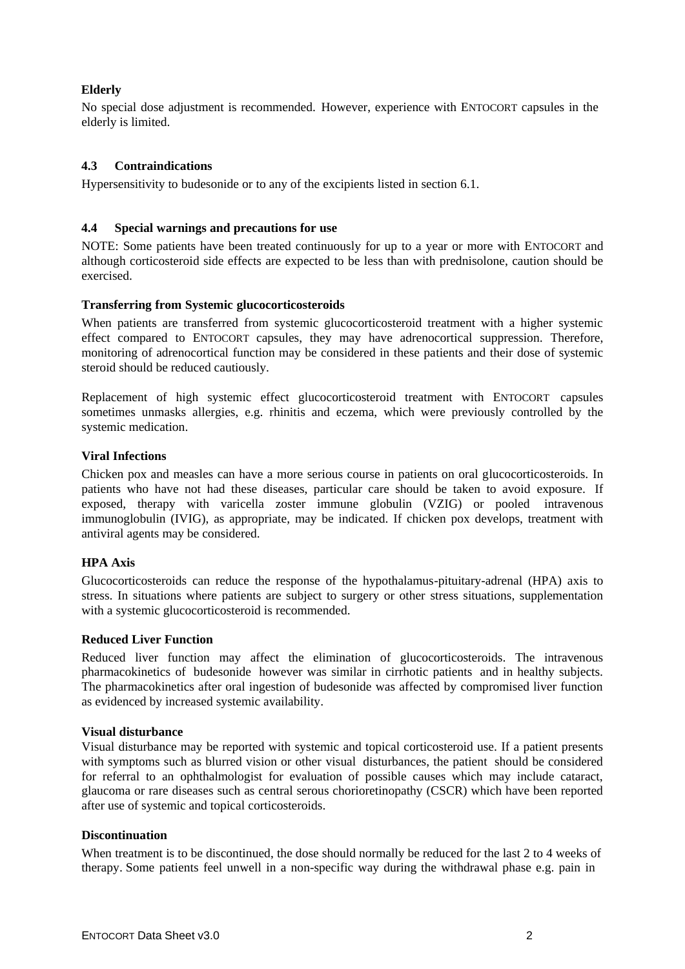## **Elderly**

No special dose adjustment is recommended. However, experience with ENTOCORT capsules in the elderly is limited.

## **4.3 Contraindications**

Hypersensitivity to budesonide or to any of the excipients listed in section 6.1.

## **4.4 Special warnings and precautions for use**

NOTE: Some patients have been treated continuously for up to a year or more with ENTOCORT and although corticosteroid side effects are expected to be less than with prednisolone, caution should be exercised.

## **Transferring from Systemic glucocorticosteroids**

When patients are transferred from systemic glucocorticosteroid treatment with a higher systemic effect compared to ENTOCORT capsules, they may have adrenocortical suppression. Therefore, monitoring of adrenocortical function may be considered in these patients and their dose of systemic steroid should be reduced cautiously.

Replacement of high systemic effect glucocorticosteroid treatment with ENTOCORT capsules sometimes unmasks allergies, e.g. rhinitis and eczema, which were previously controlled by the systemic medication.

## **Viral Infections**

Chicken pox and measles can have a more serious course in patients on oral glucocorticosteroids. In patients who have not had these diseases, particular care should be taken to avoid exposure. If exposed, therapy with varicella zoster immune globulin (VZIG) or pooled intravenous immunoglobulin (IVIG), as appropriate, may be indicated. If chicken pox develops, treatment with antiviral agents may be considered.

## **HPA Axis**

Glucocorticosteroids can reduce the response of the hypothalamus-pituitary-adrenal (HPA) axis to stress. In situations where patients are subject to surgery or other stress situations, supplementation with a systemic glucocorticosteroid is recommended.

#### **Reduced Liver Function**

Reduced liver function may affect the elimination of glucocorticosteroids. The intravenous pharmacokinetics of budesonide however was similar in cirrhotic patients and in healthy subjects. The pharmacokinetics after oral ingestion of budesonide was affected by compromised liver function as evidenced by increased systemic availability.

#### **Visual disturbance**

Visual disturbance may be reported with systemic and topical corticosteroid use. If a patient presents with symptoms such as blurred vision or other visual disturbances, the patient should be considered for referral to an ophthalmologist for evaluation of possible causes which may include cataract, glaucoma or rare diseases such as central serous chorioretinopathy (CSCR) which have been reported after use of systemic and topical corticosteroids.

#### **Discontinuation**

When treatment is to be discontinued, the dose should normally be reduced for the last 2 to 4 weeks of therapy. Some patients feel unwell in a non-specific way during the withdrawal phase e.g. pain in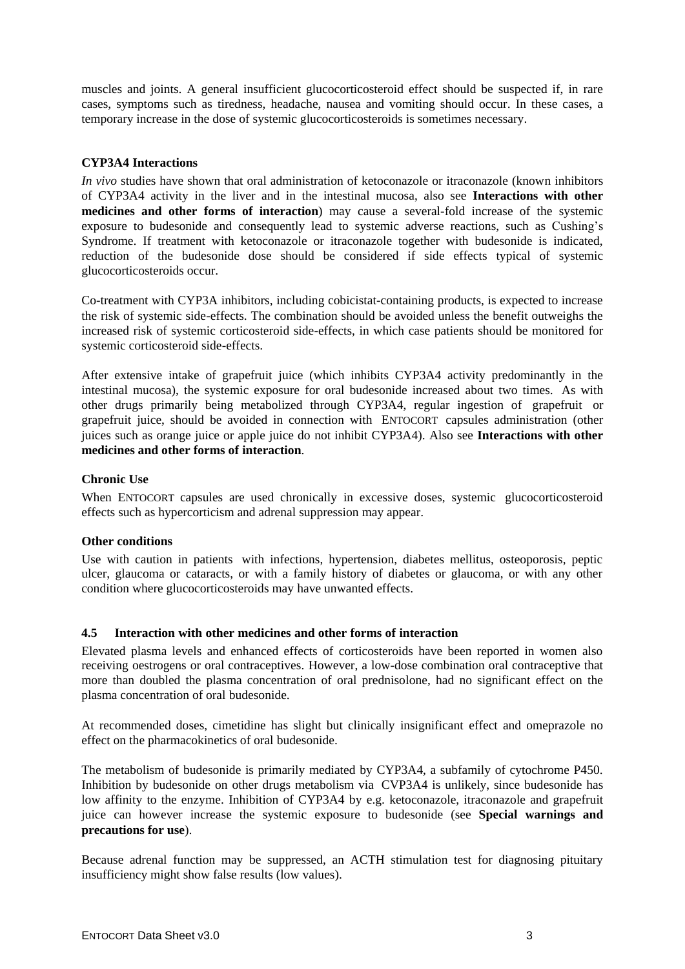muscles and joints. A general insufficient glucocorticosteroid effect should be suspected if, in rare cases, symptoms such as tiredness, headache, nausea and vomiting should occur. In these cases, a temporary increase in the dose of systemic glucocorticosteroids is sometimes necessary.

## **CYP3A4 Interactions**

*In vivo* studies have shown that oral administration of ketoconazole or itraconazole (known inhibitors of CYP3A4 activity in the liver and in the intestinal mucosa, also see **Interactions with other medicines and other forms of interaction**) may cause a several-fold increase of the systemic exposure to budesonide and consequently lead to systemic adverse reactions, such as Cushing's Syndrome. If treatment with ketoconazole or itraconazole together with budesonide is indicated, reduction of the budesonide dose should be considered if side effects typical of systemic glucocorticosteroids occur.

Co-treatment with CYP3A inhibitors, including cobicistat-containing products, is expected to increase the risk of systemic side-effects. The combination should be avoided unless the benefit outweighs the increased risk of systemic corticosteroid side-effects, in which case patients should be monitored for systemic corticosteroid side-effects.

After extensive intake of grapefruit juice (which inhibits CYP3A4 activity predominantly in the intestinal mucosa), the systemic exposure for oral budesonide increased about two times. As with other drugs primarily being metabolized through CYP3A4, regular ingestion of grapefruit or grapefruit juice, should be avoided in connection with ENTOCORT capsules administration (other juices such as orange juice or apple juice do not inhibit CYP3A4). Also see **Interactions with other medicines and other forms of interaction**.

## **Chronic Use**

When ENTOCORT capsules are used chronically in excessive doses, systemic glucocorticosteroid effects such as hypercorticism and adrenal suppression may appear.

#### **Other conditions**

Use with caution in patients with infections, hypertension, diabetes mellitus, osteoporosis, peptic ulcer, glaucoma or cataracts, or with a family history of diabetes or glaucoma, or with any other condition where glucocorticosteroids may have unwanted effects.

#### **4.5 Interaction with other medicines and other forms of interaction**

Elevated plasma levels and enhanced effects of corticosteroids have been reported in women also receiving oestrogens or oral contraceptives. However, a low-dose combination oral contraceptive that more than doubled the plasma concentration of oral prednisolone, had no significant effect on the plasma concentration of oral budesonide.

At recommended doses, cimetidine has slight but clinically insignificant effect and omeprazole no effect on the pharmacokinetics of oral budesonide.

The metabolism of budesonide is primarily mediated by CYP3A4, a subfamily of cytochrome P450. Inhibition by budesonide on other drugs metabolism via CVP3A4 is unlikely, since budesonide has low affinity to the enzyme. Inhibition of CYP3A4 by e.g. ketoconazole, itraconazole and grapefruit juice can however increase the systemic exposure to budesonide (see **Special warnings and precautions for use**).

Because adrenal function may be suppressed, an ACTH stimulation test for diagnosing pituitary insufficiency might show false results (low values).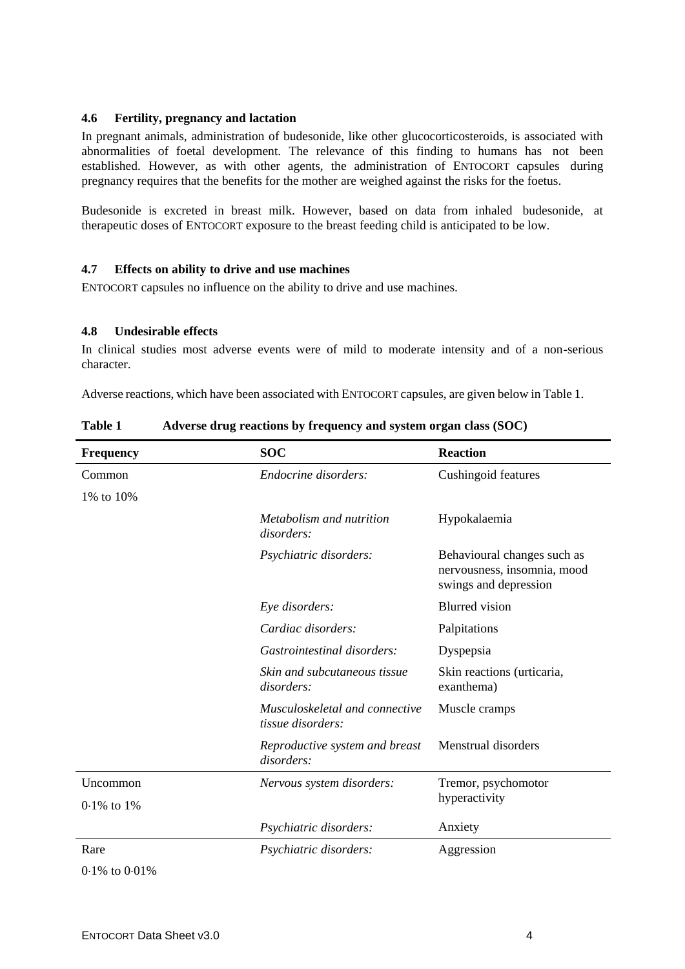#### **4.6 Fertility, pregnancy and lactation**

In pregnant animals, administration of budesonide, like other glucocorticosteroids, is associated with abnormalities of foetal development. The relevance of this finding to humans has not been established. However, as with other agents, the administration of ENTOCORT capsules during pregnancy requires that the benefits for the mother are weighed against the risks for the foetus.

Budesonide is excreted in breast milk. However, based on data from inhaled budesonide, at therapeutic doses of ENTOCORT exposure to the breast feeding child is anticipated to be low.

### **4.7 Effects on ability to drive and use machines**

ENTOCORT capsules no influence on the ability to drive and use machines.

#### **4.8 Undesirable effects**

In clinical studies most adverse events were of mild to moderate intensity and of a non-serious character.

Adverse reactions, which have been associated with ENTOCORT capsules, are given below in Table 1.

| <b>Frequency</b> | <b>SOC</b>                                          | <b>Reaction</b>                                                                     |
|------------------|-----------------------------------------------------|-------------------------------------------------------------------------------------|
| Common           | Endocrine disorders:                                | Cushingoid features                                                                 |
| 1% to 10%        |                                                     |                                                                                     |
|                  | Metabolism and nutrition<br>disorders:              | Hypokalaemia                                                                        |
|                  | Psychiatric disorders:                              | Behavioural changes such as<br>nervousness, insomnia, mood<br>swings and depression |
|                  | Eye disorders:                                      | <b>Blurred</b> vision                                                               |
|                  | Cardiac disorders:                                  | Palpitations                                                                        |
|                  | Gastrointestinal disorders:                         | Dyspepsia                                                                           |
|                  | Skin and subcutaneous tissue<br>disorders:          | Skin reactions (urticaria,<br>exanthema)                                            |
|                  | Musculoskeletal and connective<br>tissue disorders: | Muscle cramps                                                                       |
|                  | Reproductive system and breast<br>disorders:        | Menstrual disorders                                                                 |
| Uncommon         | Nervous system disorders:                           | Tremor, psychomotor                                                                 |
| $0.1\%$ to $1\%$ |                                                     | hyperactivity                                                                       |
|                  | Psychiatric disorders:                              | Anxiety                                                                             |
| Rare             | Psychiatric disorders:                              | Aggression                                                                          |

**Table 1 Adverse drug reactions by frequency and system organ class (SOC)**

 $0.1\%$  to  $0.01\%$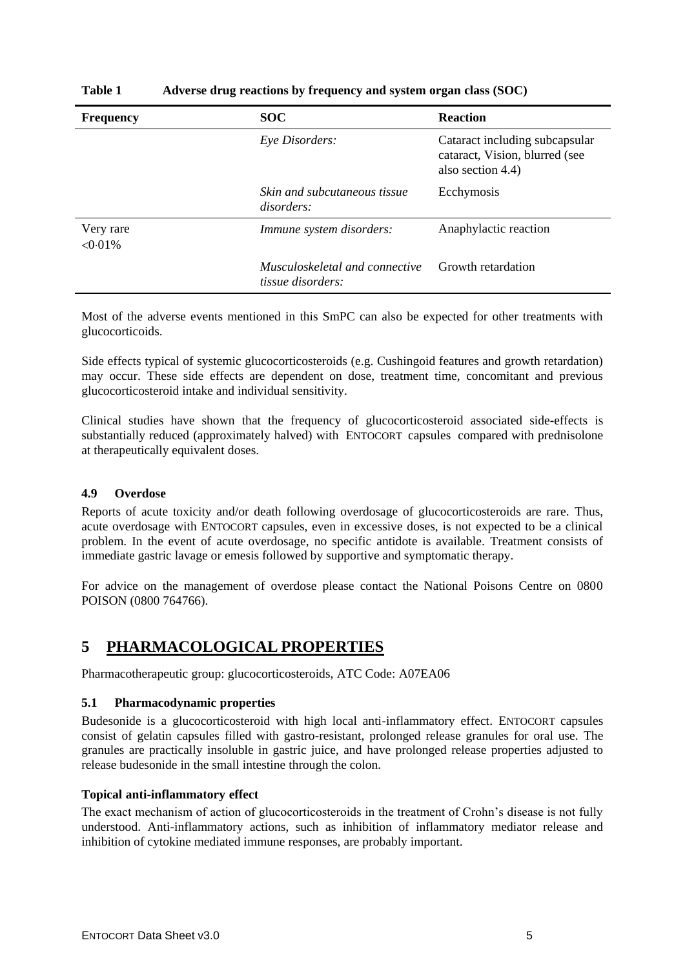| <b>Frequency</b>       | <b>SOC</b>                                                 | <b>Reaction</b>                                                                       |
|------------------------|------------------------------------------------------------|---------------------------------------------------------------------------------------|
|                        | Eye Disorders:                                             | Cataract including subcapsular<br>cataract, Vision, blurred (see<br>also section 4.4) |
|                        | Skin and subcutaneous tissue<br><i>disorders:</i>          | Ecchymosis                                                                            |
| Very rare<br>$<0.01\%$ | Immune system disorders:                                   | Anaphylactic reaction                                                                 |
|                        | Musculoskeletal and connective<br><i>tissue disorders:</i> | Growth retardation                                                                    |

### **Table 1 Adverse drug reactions by frequency and system organ class (SOC)**

Most of the adverse events mentioned in this SmPC can also be expected for other treatments with glucocorticoids.

Side effects typical of systemic glucocorticosteroids (e.g. Cushingoid features and growth retardation) may occur. These side effects are dependent on dose, treatment time, concomitant and previous glucocorticosteroid intake and individual sensitivity.

Clinical studies have shown that the frequency of glucocorticosteroid associated side-effects is substantially reduced (approximately halved) with ENTOCORT capsules compared with prednisolone at therapeutically equivalent doses.

#### **4.9 Overdose**

Reports of acute toxicity and/or death following overdosage of glucocorticosteroids are rare. Thus, acute overdosage with ENTOCORT capsules, even in excessive doses, is not expected to be a clinical problem. In the event of acute overdosage, no specific antidote is available. Treatment consists of immediate gastric lavage or emesis followed by supportive and symptomatic therapy.

For advice on the management of overdose please contact the National Poisons Centre on 0800 POISON (0800 764766).

## **5 PHARMACOLOGICAL PROPERTIES**

Pharmacotherapeutic group: glucocorticosteroids, ATC Code: A07EA06

#### **5.1 Pharmacodynamic properties**

Budesonide is a glucocorticosteroid with high local anti-inflammatory effect. ENTOCORT capsules consist of gelatin capsules filled with gastro-resistant, prolonged release granules for oral use. The granules are practically insoluble in gastric juice, and have prolonged release properties adjusted to release budesonide in the small intestine through the colon.

#### **Topical anti-inflammatory effect**

The exact mechanism of action of glucocorticosteroids in the treatment of Crohn's disease is not fully understood. Anti-inflammatory actions, such as inhibition of inflammatory mediator release and inhibition of cytokine mediated immune responses, are probably important.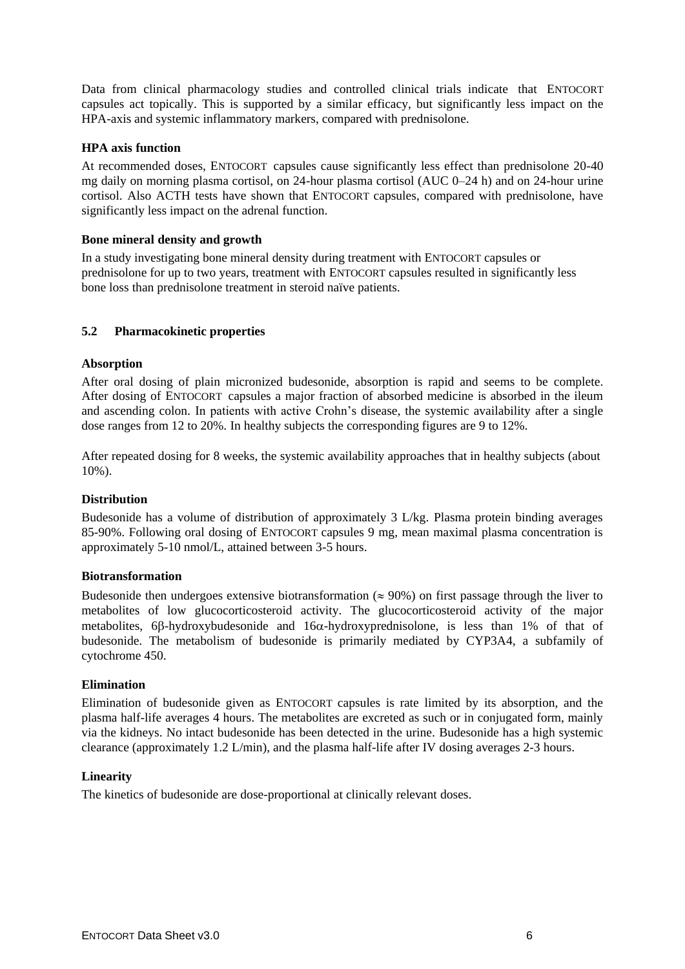Data from clinical pharmacology studies and controlled clinical trials indicate that ENTOCORT capsules act topically. This is supported by a similar efficacy, but significantly less impact on the HPA-axis and systemic inflammatory markers, compared with prednisolone.

## **HPA axis function**

At recommended doses, ENTOCORT capsules cause significantly less effect than prednisolone 20-40 mg daily on morning plasma cortisol, on 24-hour plasma cortisol (AUC 0–24 h) and on 24-hour urine cortisol. Also ACTH tests have shown that ENTOCORT capsules, compared with prednisolone, have significantly less impact on the adrenal function.

#### **Bone mineral density and growth**

In a study investigating bone mineral density during treatment with ENTOCORT capsules or prednisolone for up to two years, treatment with ENTOCORT capsules resulted in significantly less bone loss than prednisolone treatment in steroid naïve patients.

## **5.2 Pharmacokinetic properties**

## **Absorption**

After oral dosing of plain micronized budesonide, absorption is rapid and seems to be complete. After dosing of ENTOCORT capsules a major fraction of absorbed medicine is absorbed in the ileum and ascending colon. In patients with active Crohn's disease, the systemic availability after a single dose ranges from 12 to 20%. In healthy subjects the corresponding figures are 9 to 12%.

After repeated dosing for 8 weeks, the systemic availability approaches that in healthy subjects (about 10%).

#### **Distribution**

Budesonide has a volume of distribution of approximately 3 L/kg. Plasma protein binding averages 85-90%. Following oral dosing of ENTOCORT capsules 9 mg, mean maximal plasma concentration is approximately 5-10 nmol/L, attained between 3-5 hours.

#### **Biotransformation**

Budesonide then undergoes extensive biotransformation ( $\approx 90\%$ ) on first passage through the liver to metabolites of low glucocorticosteroid activity. The glucocorticosteroid activity of the major metabolites,  $6\beta$ -hydroxybudesonide and  $16\alpha$ -hydroxyprednisolone, is less than 1% of that of budesonide. The metabolism of budesonide is primarily mediated by CYP3A4, a subfamily of cytochrome 450.

#### **Elimination**

Elimination of budesonide given as ENTOCORT capsules is rate limited by its absorption, and the plasma half-life averages 4 hours. The metabolites are excreted as such or in conjugated form, mainly via the kidneys. No intact budesonide has been detected in the urine. Budesonide has a high systemic clearance (approximately 1.2 L/min), and the plasma half-life after IV dosing averages 2-3 hours.

#### **Linearity**

The kinetics of budesonide are dose-proportional at clinically relevant doses.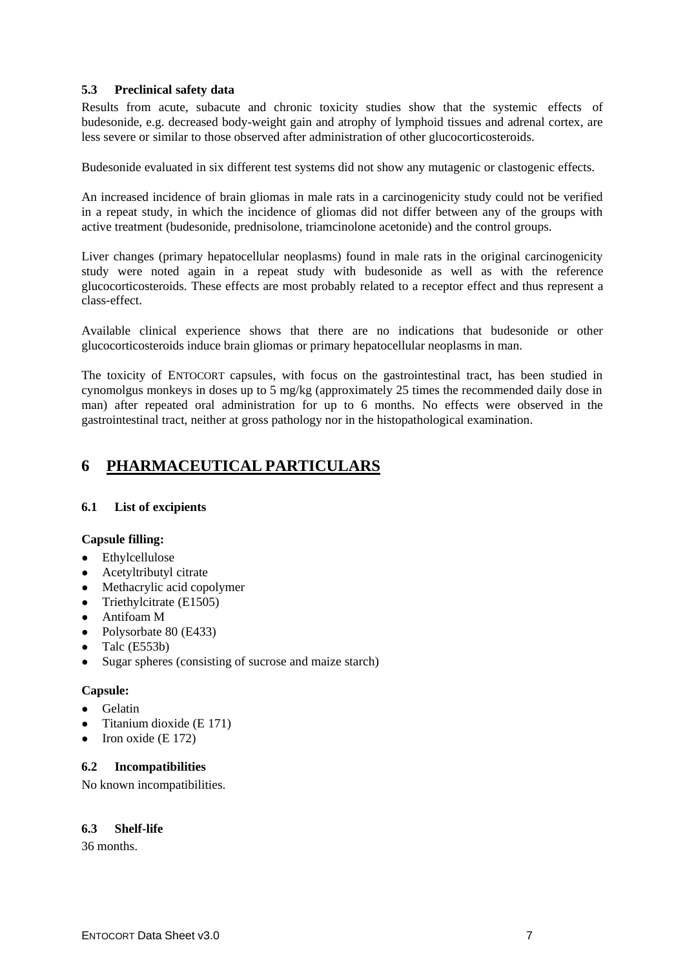## **5.3 Preclinical safety data**

Results from acute, subacute and chronic toxicity studies show that the systemic effects of budesonide, e.g. decreased body-weight gain and atrophy of lymphoid tissues and adrenal cortex, are less severe or similar to those observed after administration of other glucocorticosteroids.

Budesonide evaluated in six different test systems did not show any mutagenic or clastogenic effects.

An increased incidence of brain gliomas in male rats in a carcinogenicity study could not be verified in a repeat study, in which the incidence of gliomas did not differ between any of the groups with active treatment (budesonide, prednisolone, triamcinolone acetonide) and the control groups.

Liver changes (primary hepatocellular neoplasms) found in male rats in the original carcinogenicity study were noted again in a repeat study with budesonide as well as with the reference glucocorticosteroids. These effects are most probably related to a receptor effect and thus represent a class-effect.

Available clinical experience shows that there are no indications that budesonide or other glucocorticosteroids induce brain gliomas or primary hepatocellular neoplasms in man.

The toxicity of ENTOCORT capsules, with focus on the gastrointestinal tract, has been studied in cynomolgus monkeys in doses up to 5 mg/kg (approximately 25 times the recommended daily dose in man) after repeated oral administration for up to 6 months. No effects were observed in the gastrointestinal tract, neither at gross pathology nor in the histopathological examination.

# **6 PHARMACEUTICAL PARTICULARS**

#### **6.1 List of excipients**

#### **Capsule filling:**

- Ethylcellulose
- Acetyltributyl citrate
- Methacrylic acid copolymer
- Triethylcitrate  $(E1505)$
- Antifoam M
- Polysorbate 80 (E433)
- $\bullet$  Talc (E553b)
- Sugar spheres (consisting of sucrose and maize starch)

#### **Capsule:**

- Gelatin
- Titanium dioxide (E 171)
- Iron oxide (E 172)

#### **6.2 Incompatibilities**

No known incompatibilities.

#### **6.3 Shelf-life**

36 months.